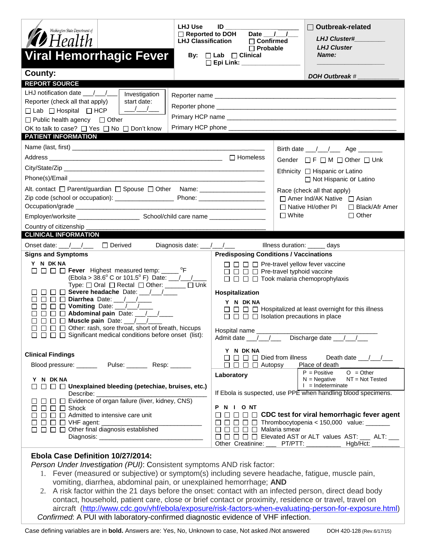| <b>LHJ Use</b><br>Washington State Department of<br>$\mathcal{B}$ Health<br><b>Viral Hemorrhagic Fever</b><br>County:                                                                                                                                                                                                                                                                                                                                                                                     | ID<br>Date $\overline{\phantom{a}}$ /<br>$\Box$ Reported to DOH<br><b>LHJ Classification</b><br>$\Box$ Confirmed<br>$\Box$ Probable<br>By: $\Box$ Lab $\Box$ Clinical | <b>Outbreak-related</b><br><b>LHJ Cluster#</b><br><b>LHJ Cluster</b><br>Name:<br><b>DOH Outbreak #</b>                                                                                                                                                                          |
|-----------------------------------------------------------------------------------------------------------------------------------------------------------------------------------------------------------------------------------------------------------------------------------------------------------------------------------------------------------------------------------------------------------------------------------------------------------------------------------------------------------|-----------------------------------------------------------------------------------------------------------------------------------------------------------------------|---------------------------------------------------------------------------------------------------------------------------------------------------------------------------------------------------------------------------------------------------------------------------------|
| <b>REPORT SOURCE</b><br>LHJ notification date $\frac{\mu}{\sigma}$<br>Investigation<br>Reporter (check all that apply)<br>start date:<br>$\sqrt{1}$<br>$\Box$ Lab $\Box$ Hospital $\Box$ HCP<br>$\Box$ Public health agency $\Box$ Other<br>OK to talk to case? □ Yes □ No □ Don't know<br>PATIENT INFORMATION                                                                                                                                                                                            |                                                                                                                                                                       | Birth date __/__/___ Age ______                                                                                                                                                                                                                                                 |
| Alt. contact □ Parent/guardian □ Spouse □ Other Name: _________________________<br>Country of citizenship _                                                                                                                                                                                                                                                                                                                                                                                               |                                                                                                                                                                       | Gender $\Box$ F $\Box$ M $\Box$ Other $\Box$ Unk<br>Ethnicity □ Hispanic or Latino<br>□ Not Hispanic or Latino<br>Race (check all that apply)<br>$\Box$ Amer Ind/AK Native $\Box$ Asian<br>□ Native HI/other PI<br>□ Black/Afr Amer<br>$\Box$ White<br>$\Box$ Other             |
| <b>CLINICAL INFORMATION</b>                                                                                                                                                                                                                                                                                                                                                                                                                                                                               |                                                                                                                                                                       |                                                                                                                                                                                                                                                                                 |
| Onset date: $\angle$ / $\angle$ $\Box$ Derived<br>Diagnosis date: ___/___/___<br><b>Signs and Symptoms</b>                                                                                                                                                                                                                                                                                                                                                                                                | <b>Predisposing Conditions / Vaccinations</b>                                                                                                                         | Illness duration: _____ days                                                                                                                                                                                                                                                    |
| Y N DK NA<br>$\Box$ $\Box$ $\Box$ <b>Fever</b> Highest measured temp: _____ °F<br>Type: Oral ORectal Other: _____ OUnk<br>$\Box$ $\Box$ Severe headache Date: / /<br>$\Box$ $\Box$ <b>Diarrhea</b> Date: $\_\_\_\_\_\_\_\_\_\_\_\_\_\_\_\_\_\_\_\_\_$<br>$\Box$ $\Box$ Vomiting Date: $\_\_\_\_\_\_\_\_\_\_\_\_\_\_\_\_\_\_\_\_$<br>$\Box$ $\Box$ Abdominal pain Date: $\Box$<br>$\Box$ $\Box$ $\Box$ Muscle pain Date: $\Box$<br>$\Box$ $\Box$ $\Box$ Other: rash, sore throat, short of breath, hiccups | Hospitalization<br>Y N DKNA                                                                                                                                           | $\Box$ $\Box$ Pre-travel yellow fever vaccine<br>$\Box$ $\Box$ $\Box$ Pre-travel typhoid vaccine<br>$\Box$ $\Box$ $\Box$ Took malaria chemoprophylaxis<br>$\Box$ $\Box$ Hospitalized at least overnight for this illness<br>$\Box$ $\Box$ $\Box$ Isolation precautions in place |
| <b>Clinical Findings</b><br>Blood pressure: __________ Pulse: _________ Resp: _______                                                                                                                                                                                                                                                                                                                                                                                                                     | Y N DK NA<br>$\Box$ $\Box$ $\Box$ Died from illness<br>$\Box$ $\Box$ $\Box$ $\Box$ Autopsy<br>Laboratory                                                              | Death date $\frac{1}{\sqrt{1-\frac{1}{2}}}$<br>Place of death<br>$O = Other$<br>$P = Positive$                                                                                                                                                                                  |
| Y N DKNA<br>$\Box$ $\Box$ $\Box$ Unexplained bleeding (petechiae, bruises, etc.)<br>$\Box$ $\Box$ $\Box$ Shock<br>$\Box$ $\Box$ $\Box$ Admitted to intensive care unit<br>$\Box$ $\Box$ $\Box$ $\Box$ VHF agent:<br>Diagnosis: Diagnosis:                                                                                                                                                                                                                                                                 | PNIONT<br>$\Box$ $\Box$ $\Box$ $\Box$ $\Box$ Malaria smear<br>Other Creatinine:                                                                                       | NT = Not Tested<br>$N = Negative$<br>$I = Indeterminate$<br>If Ebola is suspected, use PPE when handling blood specimens.<br>$\Box$ $\Box$ $\Box$ $\Box$ CDC test for viral hemorrhagic fever agent<br>PT/PTT:<br>Hgb/Hct:                                                      |

## **Ebola Case Definition 10/27/2014:**

*Person Under Investigation (PUI)*: Consistent symptoms AND risk factor:

- 1. Fever (measured or subjective) or symptom(s) including severe headache, fatigue, muscle pain, vomiting, diarrhea, abdominal pain, or unexplained hemorrhage; **AND**
- 2. A risk factor within the 21 days before the onset: contact with an infected person, direct dead body contact, household, patient care, close or brief contact or proximity, residence or travel, travel on aircraft [\(http://www.cdc.gov/vhf/ebola/exposure/risk-factors-when-evaluating-person-for-exposure.html\)](http://www.cdc.gov/vhf/ebola/exposure/risk-factors-when-evaluating-person-for-exposure.html) *Confirmed*: A PUI with laboratory-confirmed diagnostic evidence of VHF infection.

Case defining variables are in **bold.** Answers are: Yes, No, Unknown to case, Not asked /Not answered DOH 420-128 (Rev.6/17/15)